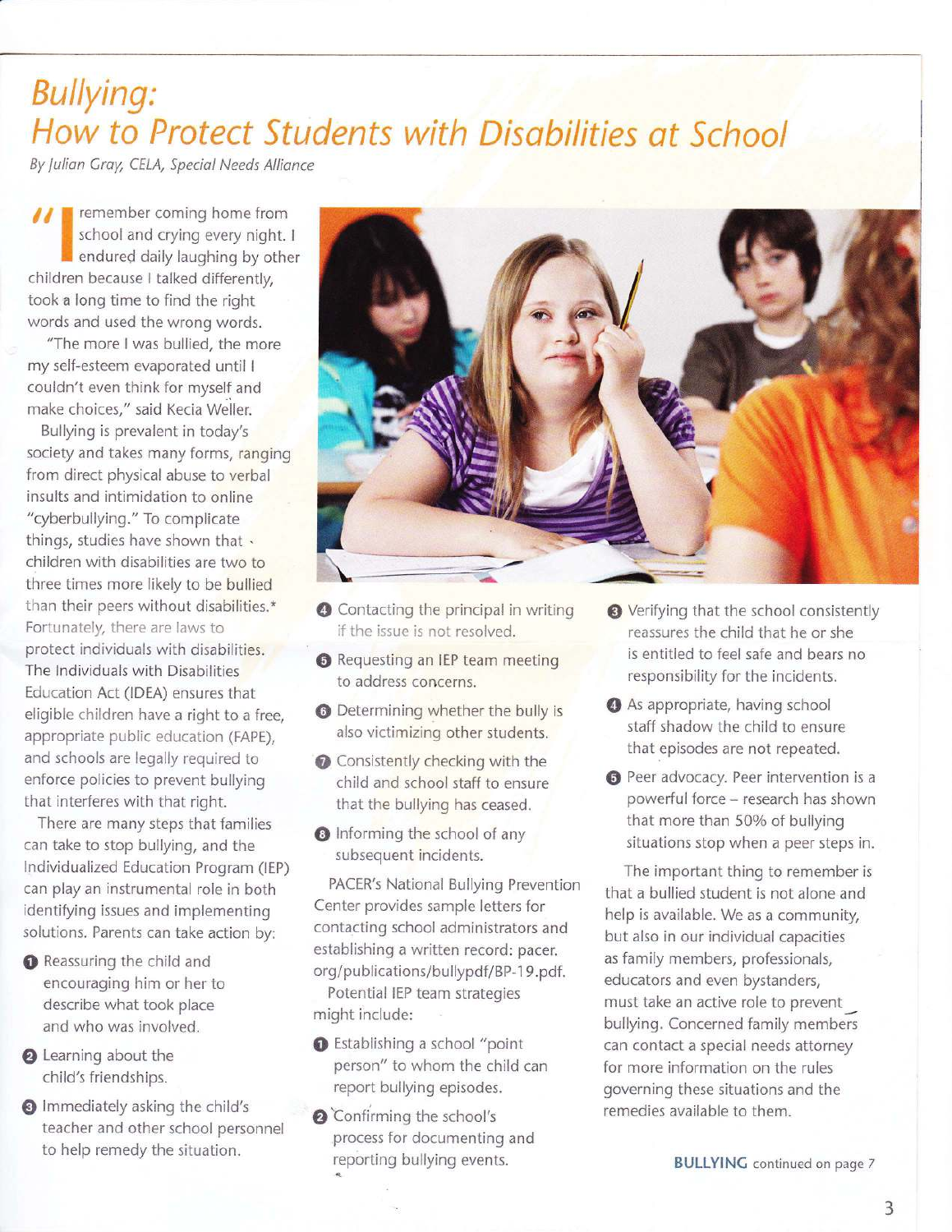## Bullying: How to Protect Students with Disabilities at School

By Julian Gray, CELA, Special Needs Alliance

 $\mathcal{I}$   $\mathcal{I}$  remember coming home from school and crying every night. I endured daily laughing by other children because I talked differently, took a long time to find the right words and used the wrong words.

"The more I was bullied, the more my self-esteem evaporated until <sup>I</sup> couldn't even think for myself and make choices," said Kecia Weller.

Bullying is prevalent in today's society and takes many forms, ranging from direct physical abuse to verbal insults and intimidation to online "cyberbullying." To complicate things, studies have shown that . children with disabilities are two to three times more likely to be bullied than their peers without disabilities.\* Fortunately, there are laws to protect indivlduals with disabilities. The lndividuals with Disabilities Education Act (IDEA) ensures that eligible children have a right to a free, appropriate public education (FAPE), and schools are legally required to enforce policies to prevent bullying that interferes with that right.

There are many steps that families can take to stop bullying, and the lndividualized Education Program (lEP) can play an instrumental role in both identifying issues and implementing solutions. Parents can take action by:

- **O** Reassuring the child and encouraging him or her to describe what took place and who was involved.
- **@** Learning about the child's friendships.
- @ lmmediately asking the child's teacher and other school personnel to help remedy the situation.



- @ Contacting the principal in writing if the issue is not resolved.
- **@** Requesting an IEP team meeting to address concerns.
- **O** Determining whether the bully is also victimizing other students.
- **O** Consistently checking with the child and school staff to ensure that the bullying has ceased.
- **O** Informing the school of any subsequent incidents.

PACER's National Bullying Prevention Center provides sample letters for contacting school administrators and establishing a written record: pacer. org/publications/bullypdf/BP-19.pdf. Potential IEP team strategies might include:

- @ Establishing a school "point person" to whom the child can report bullying episodes.
- **@** Confirming the school's process for documenting and reporting bullying events.
- @ Verifying that the school consistently reassures the chiid that he or she is entitled to feel safe and bears no responsibility for the incidents.
- @ As appropriate, having school staff shadow the child to ensure that episodes are not repeated.
- $\Theta$  Peer advocacy. Peer intervention is a powerful force - research has shown that more than 50% of bullying situations stop when a peer steps in.

The imporiant thing to remember is that a bullied student is not alone and help is available. We as a community, but also in our individual capacities as family members, professionals, educators and even bystanders, must take an active role to prevent\_ bullying. Concerned family members can contact a speciai needs attorney for more information on the rules governing these situations and the remedies available to them.

BULLYING continued on page 7